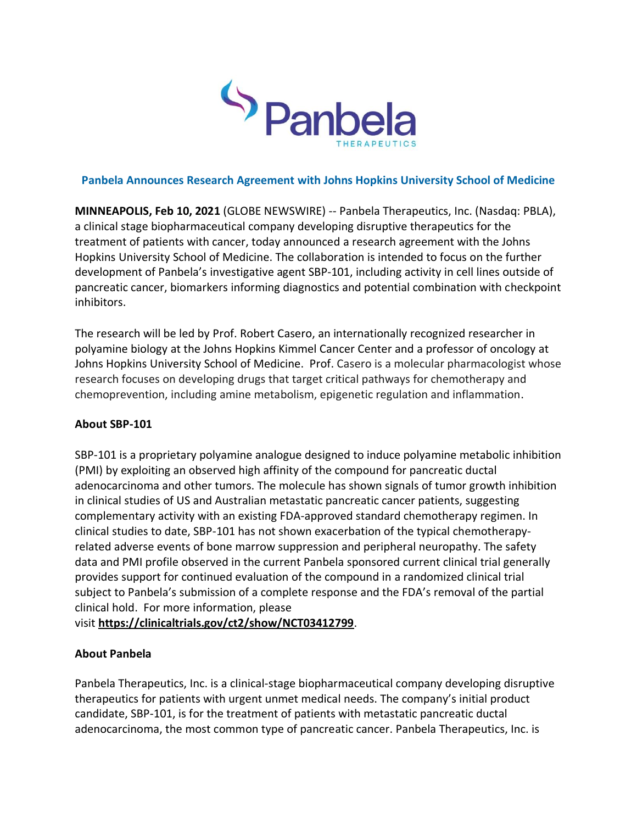

## **Panbela Announces Research Agreement with Johns Hopkins University School of Medicine**

**MINNEAPOLIS, Feb 10, 2021** (GLOBE NEWSWIRE) -- Panbela Therapeutics, Inc. (Nasdaq: PBLA), a clinical stage biopharmaceutical company developing disruptive therapeutics for the treatment of patients with cancer, today announced a research agreement with the Johns Hopkins University School of Medicine. The collaboration is intended to focus on the further development of Panbela's investigative agent SBP-101, including activity in cell lines outside of pancreatic cancer, biomarkers informing diagnostics and potential combination with checkpoint inhibitors.

The research will be led by Prof. Robert Casero, an internationally recognized researcher in polyamine biology at the Johns Hopkins Kimmel Cancer Center and a professor of oncology at Johns Hopkins University School of Medicine. Prof. Casero is a molecular pharmacologist whose research focuses on developing drugs that target critical pathways for chemotherapy and chemoprevention, including amine metabolism, epigenetic regulation and inflammation.

## **About SBP-101**

SBP-101 is a proprietary polyamine analogue designed to induce polyamine metabolic inhibition (PMI) by exploiting an observed high affinity of the compound for pancreatic ductal adenocarcinoma and other tumors. The molecule has shown signals of tumor growth inhibition in clinical studies of US and Australian metastatic pancreatic cancer patients, suggesting complementary activity with an existing FDA-approved standard chemotherapy regimen. In clinical studies to date, SBP-101 has not shown exacerbation of the typical chemotherapyrelated adverse events of bone marrow suppression and peripheral neuropathy. The safety data and PMI profile observed in the current Panbela sponsored current clinical trial generally provides support for continued evaluation of the compound in a randomized clinical trial subject to Panbela's submission of a complete response and the FDA's removal of the partial clinical hold. For more information, please

visit **[https://clinicaltrials.gov/ct2/show/NCT03412799](https://www.globenewswire.com/Tracker?data=P6bnORsSETeyUUCAkzaKJ0Ygy8Md1yADsuJI4lRABR5b_X5dfy2OLYGYxUNzNuWDMxDhCH7UwenoTSowPXxcjFK1vuxqTqBoMucwQ_doQ-t1b3y9vOa119QtDIsnyRySkepwMsDUjIBKlMq7BNLNOSboxSZXznfzznVVlN_-pj0=)**.

## **About Panbela**

Panbela Therapeutics, Inc. is a clinical-stage biopharmaceutical company developing disruptive therapeutics for patients with urgent unmet medical needs. The company's initial product candidate, SBP-101, is for the treatment of patients with metastatic pancreatic ductal adenocarcinoma, the most common type of pancreatic cancer. Panbela Therapeutics, Inc. is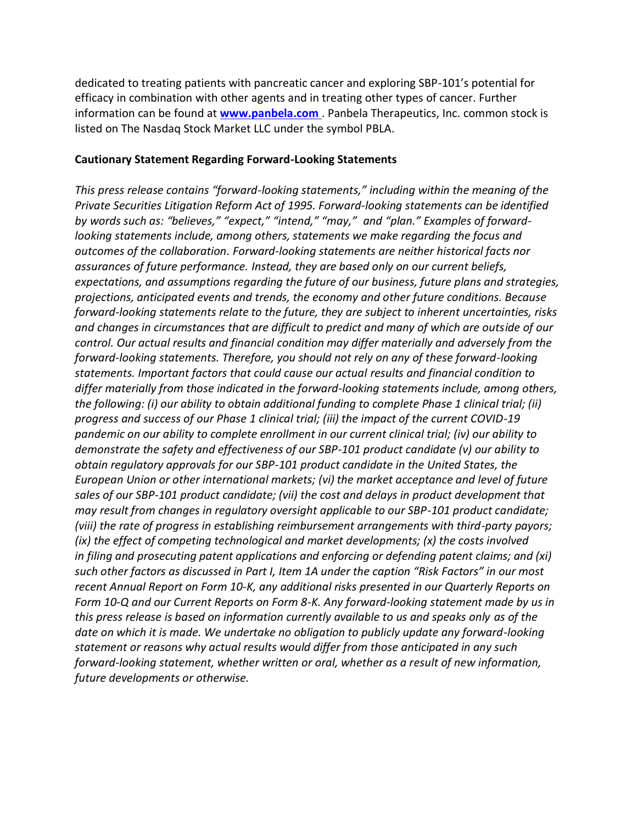dedicated to treating patients with pancreatic cancer and exploring SBP-101's potential for efficacy in combination with other agents and in treating other types of cancer. Further information can be found at **[www.panbela.com](https://www.globenewswire.com/Tracker?data=pO2UYU42oYxpFtX_CsXBxY9WDQluHgaxbftRnJ9wW0bGnK6IPZEK5MjwbxOMt_HqwqhYXAZzUNRvP54nRqSFlw==)** . Panbela Therapeutics, Inc. common stock is listed on The Nasdaq Stock Market LLC under the symbol PBLA.

## **Cautionary Statement Regarding Forward-Looking Statements**

*This press release contains "forward-looking statements," including within the meaning of the Private Securities Litigation Reform Act of 1995. Forward-looking statements can be identified by words such as: "believes," "expect," "intend," "may," and "plan." Examples of forwardlooking statements include, among others, statements we make regarding the focus and outcomes of the collaboration. Forward-looking statements are neither historical facts nor assurances of future performance. Instead, they are based only on our current beliefs, expectations, and assumptions regarding the future of our business, future plans and strategies, projections, anticipated events and trends, the economy and other future conditions. Because forward-looking statements relate to the future, they are subject to inherent uncertainties, risks and changes in circumstances that are difficult to predict and many of which are outside of our control. Our actual results and financial condition may differ materially and adversely from the forward-looking statements. Therefore, you should not rely on any of these forward-looking statements. Important factors that could cause our actual results and financial condition to differ materially from those indicated in the forward-looking statements include, among others, the following: (i) our ability to obtain additional funding to complete Phase 1 clinical trial; (ii) progress and success of our Phase 1 clinical trial; (iii) the impact of the current COVID-19 pandemic on our ability to complete enrollment in our current clinical trial; (iv) our ability to demonstrate the safety and effectiveness of our SBP-101 product candidate (v) our ability to obtain regulatory approvals for our SBP-101 product candidate in the United States, the European Union or other international markets; (vi) the market acceptance and level of future sales of our SBP-101 product candidate; (vii) the cost and delays in product development that may result from changes in regulatory oversight applicable to our SBP-101 product candidate; (viii) the rate of progress in establishing reimbursement arrangements with third-party payors; (ix) the effect of competing technological and market developments; (x) the costs involved in filing and prosecuting patent applications and enforcing or defending patent claims; and (xi) such other factors as discussed in Part I, Item 1A under the caption "Risk Factors" in our most recent Annual Report on Form 10-K, any additional risks presented in our Quarterly Reports on Form 10-Q and our Current Reports on Form 8-K. Any forward-looking statement made by us in this press release is based on information currently available to us and speaks only as of the date on which it is made. We undertake no obligation to publicly update any forward-looking statement or reasons why actual results would differ from those anticipated in any such forward-looking statement, whether written or oral, whether as a result of new information, future developments or otherwise.*